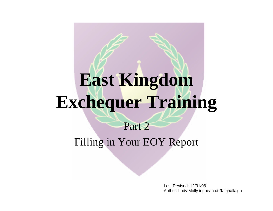# **East Kingdom Exchequer Training**

#### Part 2Filling in Your EOY Report

Last Revised: 12/31/06Author: Lady Molly inghean ui Raighallaigh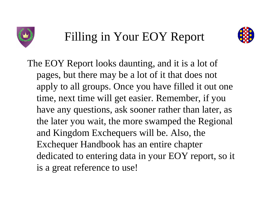



The EOY Report looks daunting, and it is a lot of pages, but there may be a lot of it that does not apply to all groups. Once you have filled it out one time, next time will get easier. Remember, if you have any questions, ask sooner rather than later, as the later you wait, the more swamped the Regional and Kingdom Exchequers will be. Also, the Exchequer Handbook has an entire chapter dedicated to entering data in your EOY report, so it is a great reference to use!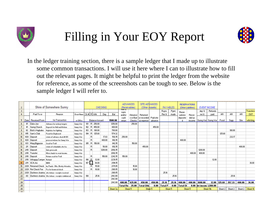



In the ledger training section, there is a sample ledger that I made up to illustrate some common transactions. I will use it here where I can to illustrate how to fill out the relevant pages. It might be helpful to print the ledger from the website for reference, as some of the screenshots can be tough to see. Below is the sample ledger I will refer to.

| $\overline{c}$   |                |                      | Shire of Somewhere Sunny                             |                   |                   |         |                 | <b>CHECKING</b> |          | <b>ADVANCES</b><br>(Receivables) |                    | <b>SITE ADVANCES</b><br>(Other Assets) |                      |                | <b>PAYABLES</b> |                 | <b>RESERVATIONS</b><br>(Other Liabilities) |                    | <b>EVENT INCOME</b>   |         |         |         |            |
|------------------|----------------|----------------------|------------------------------------------------------|-------------------|-------------------|---------|-----------------|-----------------|----------|----------------------------------|--------------------|----------------------------------------|----------------------|----------------|-----------------|-----------------|--------------------------------------------|--------------------|-----------------------|---------|---------|---------|------------|
|                  |                |                      |                                                      |                   |                   |         |                 |                 |          | ਜ਼ਦਾਰ                            |                    |                                        |                      |                |                 |                 |                                            |                    |                       |         |         |         |            |
| $\overline{3}$   |                |                      |                                                      |                   |                   |         |                 |                 |          | repts                            |                    |                                        |                      | Repts          | Pymt            | Reser-          |                                            | dep'd              | Refunds               |         |         |         | Transfers  |
| $\overline{4}$   |                | Paid To or           | Reason                                               | <b>Event Name</b> |                   |         | Ck # R With     | <b>Dep</b>      | Bal      | and/or                           | Advance            | Returned                               |                      | Rec'd          | made            | vations         | Recor-                                     | rec'd              | Daid                  | AR.     | AB.     | AB.     | OUT        |
| 5                |                | Date   Received From | for Transaction                                      | or Office         |                   |         | Balance forward |                 | 1500.00  | cash<br>return                   | s or Bad<br>Checks | or recorded!<br>as expense !           | Paid site<br>advance |                |                 | deposite        | ded as<br>income                           |                    | Sunny War Sunny War ! | Food    | Supp    | Site    | włin king. |
| 6                | 11             | Duke Joe             | Advance for archery targets                          | Sunny War         | 101               |         | R 250.00        |                 | 1250.00  |                                  | 250.00             |                                        |                      |                |                 |                 |                                            |                    |                       |         |         |         |            |
|                  |                | Sunny Church         | Deposit for Hall and Kitchen                         | Sunny War         |                   | $102$ R | 450.00          |                 | 800.00   |                                  |                    |                                        | 450.00               |                |                 |                 |                                            |                    |                       |         |         |         |            |
| 8                | 1/2            | Bob's Haybales       | Haybales for fighting                                | Sunny War         | 103               | B.      | 100.00          |                 | 700.00   |                                  |                    |                                        |                      |                |                 |                 |                                            |                    |                       |         | 100.00  |         |            |
| 9                | 1/15           | Sam's Club           | Food for Dayboard                                    | Sunny War         | $104$ R           |         | 125.68          |                 | 574.32   |                                  |                    |                                        |                      |                |                 |                 |                                            |                    |                       | 125.68  |         |         |            |
| 10 <sup>10</sup> | 1/20           | Deposit              | return of advance check # 101                        | Sunny War         |                   | B.      |                 | 17.83           | 592.15   | 250.00                           |                    |                                        |                      |                |                 |                 |                                            |                    |                       |         | 232.17  |         |            |
| 11               | 1/20           | Deposit              | prereservations for Sunny War                        | Sunny War         |                   | B.      |                 | 400.00          | 992.15   |                                  |                    |                                        |                      |                |                 | 400.00          |                                            |                    |                       |         |         |         |            |
| 12               | 1/31           | Mary Bigpurse        | Seed for Troll                                       | Sunny War         | 105               | RI      | 150.00          |                 | 842.15   |                                  | 150.00             |                                        |                      |                |                 |                 |                                            |                    |                       |         |         |         |            |
| 13 <sup>5</sup>  | 2 <sub>H</sub> | Deposit              | return of refundable site fee                        | Sunny War         |                   | B.      |                 | 50.00           | 892.15   |                                  |                    | 450.00                                 |                      |                |                 |                 |                                            |                    |                       |         |         | 400.00  |            |
| 14               | 2/10           | Deposit              | Gate proceeds                                        | Sunny War         |                   | B.      |                 | 1200.00         | 2092.15  |                                  |                    |                                        |                      |                |                 |                 |                                            | 1200.00            |                       |         |         |         |            |
| 15               | 2/10           | Transfer             | Move funds to event income                           | Sunny War         |                   |         |                 |                 | 2092.15  |                                  |                    |                                        |                      |                |                 |                 | 400.00                                     | 400.00             |                       |         |         |         |            |
| 16               | 2/10           | Deposit              | Return seed for Troll                                | Sunny War         |                   | B.      |                 | 150.00          | 2242.15  | 150.00                           |                    |                                        |                      |                |                 |                 |                                            |                    |                       |         |         |         |            |
|                  | 2/10           | Unhappy Camper       | Refund                                               | Sunny War         | 106               | l B     | 12.00           |                 | 2230.15  |                                  |                    |                                        |                      |                |                 |                 |                                            |                    | 12.00                 |         |         |         |            |
| 18               | 2111           | SCA, Inc.            | <b>NMS</b>                                           | Sunny War         | $107$ $\parallel$ |         | 36.00           |                 | 2194.15  |                                  |                    |                                        |                      |                |                 |                 |                                            |                    |                       |         |         |         | 36.00      |
| 19               | 2/28           | Returned Check       | Ins Funds - Mrs. Bratty Attendee                     | Sunny War         |                   | R.      | 15.00           |                 | 2179.15  |                                  | 15.00              |                                        |                      |                |                 |                 |                                            |                    |                       |         |         |         |            |
| 20 <sub>2</sub>  | 2/28           | <b>Ret Check Fee</b> | Fee for bounced check                                | Sunny War         |                   | R       | 10.00           |                 | 2169.15  |                                  | 10.00              |                                        |                      |                |                 |                 |                                            |                    |                       |         |         |         |            |
| 21               |                |                      | 2/28 Duchess Joanna site tokens - receipts received  | Sunny War         |                   |         |                 |                 | 2169.15  |                                  |                    |                                        |                      | 25.16          |                 |                 |                                            |                    |                       |         |         |         |            |
| 22               |                |                      | 3/2 Duchess Joanna Site tokens - receipts reimbursed | Sunny War         | 108               |         | 25.16           |                 | 2143.99  |                                  |                    |                                        |                      |                | 25.16           |                 |                                            |                    |                       |         | 25.16   |         |            |
| 23               |                |                      |                                                      |                   |                   |         |                 |                 | 2143.99  |                                  |                    |                                        |                      |                |                 |                 |                                            |                    |                       |         |         |         |            |
| 24               |                |                      |                                                      |                   |                   |         |                 |                 | 2143.99  | 400.00                           | 425.00             | 450.00                                 | 450.00               | 25.16          | 25.16           | 400.00          | 400.00                                     | 1600.00            | 12.00                 | 125.68  | 357.33  | 400.00  | 36.00      |
| 25               |                |                      |                                                      |                   |                   |         |                 |                 |          | <b>Total Re</b>                  | 25.00              | Total Oth                              | 0.00                 | <b>Total P</b> | 0.00            | <b>Total Of</b> | 0.00                                       | let incom 1,588.00 |                       |         |         |         |            |
| 26               |                |                      |                                                      |                   |                   |         |                 |                 | Sheet 3a | Sheet 5                          |                    | Sheet 5                                |                      |                | Sheet 5         |                 | Sheet 5                                    |                    | Sheet 11b             | Sheet 2 | Sheet 2 | Sheet 2 | Sheet 10   |
| oz.              |                |                      |                                                      |                   |                   |         |                 |                 |          |                                  |                    |                                        |                      |                |                 |                 |                                            |                    |                       |         |         |         |            |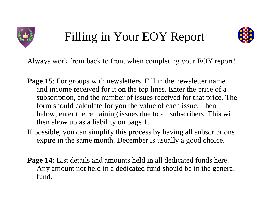



Always work from back to front when completing your EOY report!

- **Page 15:** For groups with newsletters. Fill in the newsletter name and income received for it on the top lines. Enter the price of a subscription, and the number of issues received for that price. The form should calculate for you the value of each issue. Then, below, enter the remaining issues due to all subscribers. This will then show up as a liability on page 1.
- If possible, you can simplify this process by having all subscriptions expire in the same month. December is usually a good choice.
- **Page 14**: List details and amounts held in all dedicated funds here. Any amount not held in a dedicated fund should be in the general fund.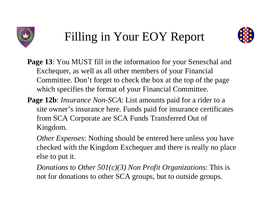



- **Page 13**: You MUST fill in the information for your Seneschal and Exchequer, as well as all other members of your Financial Committee. Don't forget to check the box at the top of the page which specifies the format of your Financial Committee.
- **Page 12b**: *Insurance Non-SCA*: List amounts paid for a rider to a site owner's insurance here. Funds paid for insurance certificates from SCA Corporate are SCA Funds Transferred Out of Kingdom.
	- *Other Expenses*: Nothing should be entered here unless you have checked with the Kingdom Exchequer and there is really no place else to put it.
	- *Donations to Other 501(c)(3) Non Profit Organizations*: This is not for donations to other SCA groups, but to outside groups.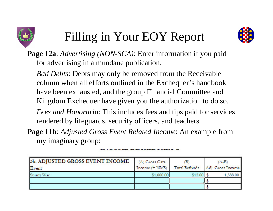



**Page 12a**: *Advertising (NON-SCA)*: Enter information if you paid for advertising in a mundane publication.

*Bad Debts*: Debts may only be removed from the Receivable column when all efforts outlined in the Exchequer's handbook have been exhausted, and the group Financial Committee and Kingdom Exchequer have given you the authorization to do so. *Fees and Honoraria*: This includes fees and tips paid for services

rendered by lifeguards, security officers, and teachers.

**Page 11b**: *Adjusted Gross Event Related Income*: An example from my imaginary group:

| 3b. ADJUSTED GROSS EVENT INCOME<br>Event | (A) Gross Gate<br>Income (+ NMS) | в<br>Total Refunds | $(A-B)$<br>Adj. Gross Income |
|------------------------------------------|----------------------------------|--------------------|------------------------------|
| Sunny War                                | \$1,600.00                       | \$12.00            | 1,588.00                     |
|                                          |                                  |                    |                              |
|                                          |                                  |                    |                              |

TO OTHER EPERILLER LIBRARY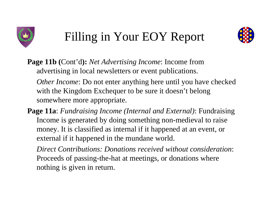



**Page 11b (**Cont'd**):** *Net Advertising Income*: Income from advertising in local newsletters or event publications.

*Other Income*: Do not enter anything here until you have checked with the Kingdom Exchequer to be sure it doesn't belong somewhere more appropriate.

**Page 11a**: *Fundraising Income (Internal and External)*: Fundraising Income is generated by doing something non-medieval to raise money. It is classified as internal if it happened at an event, or external if it happened in the mundane world.

*Direct Contributions: Donations received without consideration*: Proceeds of passing-the-hat at meetings, or donations where nothing is given in return.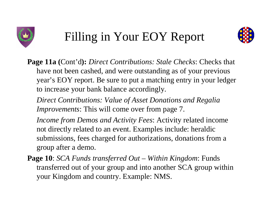



**Page 11a (**Cont'd**):** *Direct Contributions: Stale Checks*: Checks that have not been cashed, and were outstanding as of your previous year's EOY report. Be sure to put a matching entry in your ledger to increase your bank balance accordingly.

*Direct Contributions: Value of Asset Donations and Regalia Improvements*: This will come over from page 7.

*Income from Demos and Activity Fees*: Activity related income not directly related to an event. Examples include: heraldic submissions, fees charged for authorizations, donations from a group after a demo.

**Page 10**: *SCA Funds transferred Out – Within Kingdom*: Funds transferred out of your group and into another SCA group within your Kingdom and country. Example: NMS.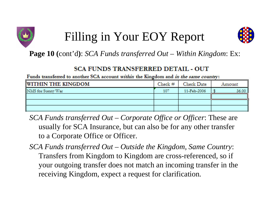



**Page 10 (**cont'd **)**: *SCA Funds transferred Out – Within Kingdom*: Ex:

#### **SCA FUNDS TRANSFERRED DETAIL - OUT**

Funds transferred to another SCA account within the Kingdom and in the same country:

| <b>WITHIN THE KINGDOM</b> | Check# | Check Date  | Amount |
|---------------------------|--------|-------------|--------|
| NMS for Sunny War         | 107    | 11-Feb-2006 | 36.00  |
|                           |        |             |        |
|                           |        |             |        |
|                           |        |             |        |

- *SCA Funds transferred Out – Corporate Office or Officer*: These are usually for SCA Insurance, but can also be for any other transfer to a Corporate Office or Officer.
- *SCA Funds transferred Out – Outside the Kingdom, Same Country*: Transfers from Kingdom to Kingdom are cross-referenced, so if your outgoing transfer does not match an incoming transfer in the receiving Kingdom, expect a request for clarification.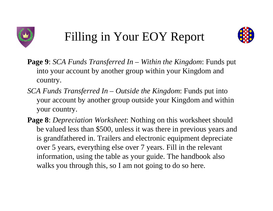



- **Page 9**: *SCA Funds Transferred In – Within the Kingdom*: Funds put into your account by another group within your Kingdom and country.
- *SCA Funds Transferred In – Outside the Kingdom*: Funds put into your account by another group outside your Kingdom and within your country.
- **Page 8**: *Depreciation Worksheet*: Nothing on this worksheet should be valued less than \$500, unless it was there in previous years and is grandfathered in. Trailers and electronic equipment depreciate over 5 years, everything else over 7 years. Fill in the relevant information, using the table as your guide. The handbook also walks you through this, so I am not going to do so here.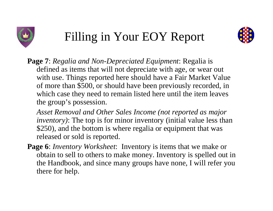



- **Page 7**: *Regalia and Non-Depreciated Equipment*: Regalia is defined as items that will not depreciate with age, or wear out with use. Things reported here should have a Fair Market Value of more than \$500, or should have been previously recorded, in which case they need to remain listed here until the item leaves the group's possession.
	- *Asset Removal and Other Sales Income (not reported as major inventory)*: The top is for minor inventory (initial value less than \$250), and the bottom is where regalia or equipment that was released or sold is reported.
- **Page 6**: *Inventory Worksheet*: Inventory is items that we make or obtain to sell to others to make money. Inventory is spelled out in the Handbook, and since many groups have none, I will refer you there for help.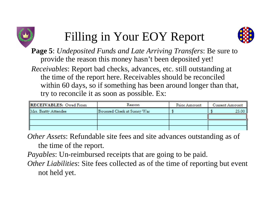



**Page 5**: *Undeposited Funds and Late Arriving Transfers*: Be sure to provide the reason this money hasn't been deposited yet!

*Receivables*: Report bad checks, advances, etc. still outstanding at the time of the report here. Receivables should be reconciled within 60 days, so if something has been around longer than that, try to reconcile it as soon as possible. Ex:

| <b>RECEIVABLES: Owed From</b> | Reason                     | Prior Amount | Current Amount |
|-------------------------------|----------------------------|--------------|----------------|
| Mrs. Bratty Attendee          | Bounced Check at Sunny War |              | 25.00          |
|                               |                            |              |                |
|                               |                            |              |                |
|                               |                            |              |                |

*Other Assets*: Refundable site fees and site advances outstanding as of the time of the report.

*Payables*: Un-reimbursed receipts that are going to be paid.

*Other Liabilities*: Site fees collected as of the time of reporting but event not held yet.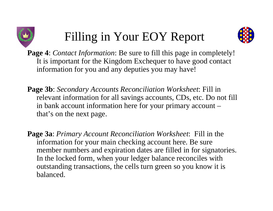



**Page 4**: *Contact Information*: Be sure to fill this page in completely! It is important for the Kingdom Exchequer to have good contact information for you and any deputies you may have!

- **Page 3b**: *Secondary Accounts Reconciliation Worksheet*: Fill in relevant information for all savings accounts, CDs, etc. Do not fill in bank account information here for your primary account – that's on the next page.
- **Page 3a**: *Primary Account Reconciliation Worksheet*: Fill in the information for your main checking account here. Be sure member numbers and expiration dates are filled in for signatories. In the locked form, when your ledger balance reconciles with outstanding transactions, the cells turn green so you know it is balanced.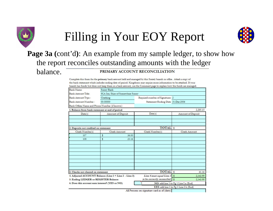



#### **Page 3a (**cont'd **)**: An example from my sample ledger, to show how the report reconciles outstanding amounts with the ledger

balance.

#### PRIMARY ACCOUNT RECONCILIATION

Complete this form for the primary bank account held and managed by this Society branch or office. Attach a copy of the bank statement which includes ending date of period. Kingdoms may require more information to be attached. If your branch has funds but does not keep them in a bank account, use the Comment page to explain how the funds are managed.

|                                                 | is ronds out does not neep them in a bank account; ose the comment page to capital |                                             |                                        |  |  |  |  |  |  |
|-------------------------------------------------|------------------------------------------------------------------------------------|---------------------------------------------|----------------------------------------|--|--|--|--|--|--|
| Bank Name:                                      | Sunny Bank                                                                         |                                             |                                        |  |  |  |  |  |  |
| Bank Account Title:                             | SCA Inc, Shire of Somewhere Sunny                                                  |                                             |                                        |  |  |  |  |  |  |
| Bank Account Type :                             | Checking                                                                           | Required number of Signatures: 2            |                                        |  |  |  |  |  |  |
| Bank Account Number:                            | 00-00000                                                                           | Statement Ending Date: 31-Dec-2006          |                                        |  |  |  |  |  |  |
| Bank Officer Name and Phone Number (if known):  |                                                                                    |                                             |                                        |  |  |  |  |  |  |
| 1. Balance from bank statement at end of period |                                                                                    |                                             | 2,205.15                               |  |  |  |  |  |  |
| Date(s)                                         | <b>Amount of Deposit</b>                                                           | Date(s)                                     | <b>Amount of Deposit</b>               |  |  |  |  |  |  |
|                                                 |                                                                                    |                                             |                                        |  |  |  |  |  |  |
|                                                 |                                                                                    |                                             |                                        |  |  |  |  |  |  |
| 2. Deposits not credited on statement           |                                                                                    | <b>TOTAL</b> \$                             |                                        |  |  |  |  |  |  |
| Check Number(s)                                 | <b>Check Amount</b>                                                                | Check Number(s)                             | <b>Check Amount</b>                    |  |  |  |  |  |  |
| 107                                             | 36.00<br>\$                                                                        |                                             |                                        |  |  |  |  |  |  |
| 108                                             | \$<br>25.16                                                                        |                                             |                                        |  |  |  |  |  |  |
|                                                 |                                                                                    |                                             |                                        |  |  |  |  |  |  |
|                                                 |                                                                                    |                                             |                                        |  |  |  |  |  |  |
|                                                 |                                                                                    |                                             |                                        |  |  |  |  |  |  |
|                                                 |                                                                                    |                                             |                                        |  |  |  |  |  |  |
|                                                 |                                                                                    |                                             |                                        |  |  |  |  |  |  |
|                                                 |                                                                                    |                                             |                                        |  |  |  |  |  |  |
| 3. Checks not cleared on statement              |                                                                                    | <b>TOTAL</b>                                | $\mathbf{s}$<br>61.16                  |  |  |  |  |  |  |
|                                                 | 4. Adjusted ACCOUNT Balance (Line 1 + Line 2 - Line 3)                             | Line 4 must equal Line 5 \$                 | 2,143.99                               |  |  |  |  |  |  |
| 5. Ending LEDGER or REGISTER Balance            |                                                                                    | to be correctly reconciled. \$              | 2,143.99                               |  |  |  |  |  |  |
| 6. Does this account earn interest? (YES or NO) |                                                                                    | NO: add line 5 to Pg 1 Line I.a.(End)       |                                        |  |  |  |  |  |  |
|                                                 |                                                                                    |                                             | YES: add line 5 to Pg 1 Line I.b.(End) |  |  |  |  |  |  |
|                                                 |                                                                                    | All Persons on signature card as of (date): |                                        |  |  |  |  |  |  |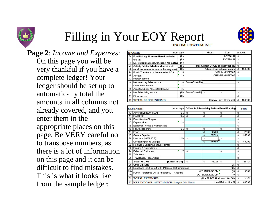

#### Filling in Your EOY Report **INCOME STATEMENT**

**Page 2**: *Income and Expenses*: On this page you will be very thankful if you have a complete ledger! Your ledger should be set up to automatically total the amounts in all columns not already covered, and you enter them in the appropriate places on this page. Be VERY careful not to transpose numbers, as there is a lot of information on this page and it can be difficult to find mistakes. This is what it looks like from the sample ledger:

| (from page)<br><b>INCOME</b> |                                             |          |                        | Gross           | Cost                                | Amount   |
|------------------------------|---------------------------------------------|----------|------------------------|-----------------|-------------------------------------|----------|
| 1a.                          | Fund Raising: Non-medieval activities       | (11a)    |                        | <b>INTERNAL</b> | \$                                  |          |
| 1b                           | to earn.                                    | (11a)    |                        | <b>EXTERNAL</b> | \$                                  |          |
| $\overline{2}$               | Direct Contributions/Donations: No activi   | [11a]    |                        |                 | \$                                  |          |
|                              | 3a Activity Related: Medieval activities to | (11a)    |                        |                 | Income from Demos and Activity Fees |          |
| 3b                           | earn income (events, demos, heraldry fees)  | (11b)    |                        |                 | Adjusted Gross Event Income         | 1,588.00 |
|                              | 4a Funds Transferred In from Another SCA    | (9)      |                        | \$              |                                     |          |
| 4b                           | Account                                     | $^{(9)}$ |                        | \$              |                                     |          |
| 5                            | <b>Interest Earned</b>                      |          |                        |                 |                                     |          |
| 6                            | Net Inventory Sales Income                  | (6)      | Gross-Cost=Net         |                 |                                     | \$       |
| 7                            | Other Sales Income                          | (7)      |                        |                 |                                     |          |
| 8                            | Adjusted Gross Newsletter Income            | (15)     |                        |                 |                                     |          |
| 9                            | Net Advertising Income                      |          | (11b) Gross-Cost=Nd \$ |                 | \$                                  | \$       |
| 10 <sup>10</sup>             | Other Income                                | (11b)    |                        |                 |                                     | \$       |
|                              | 11 TOTAL GROSS INCOME                       |          |                        |                 | (Sum of Lines 1 through 9)          | 1,588.00 |

|                 | <b>EXPENSES</b>                                                          |                      |    |                         |                       | (from page) Office & Admictivity Relate Fund Raising |    | Total  |
|-----------------|--------------------------------------------------------------------------|----------------------|----|-------------------------|-----------------------|------------------------------------------------------|----|--------|
| 12              | Advertising (NON-SCA)                                                    | $(12a)$ \$           |    | \$                      |                       | \$                                                   | \$ |        |
| 13              | <b>Bad Debts</b>                                                         | (12a)                | \$ | \$                      |                       | \$                                                   | \$ |        |
| 14              | <b>Bank Service Charges</b>                                              |                      |    |                         |                       |                                                      | \$ |        |
| 15              | <b>Depreciation</b>                                                      | $^{(8)}$             |    |                         |                       |                                                      | \$ |        |
| 16              | Equipment Rental & Maintenance                                           |                      |    |                         |                       |                                                      | \$ |        |
| 17              | Fees & Honoraria                                                         | (12a)                | \$ | \$                      |                       | \$                                                   | \$ |        |
| 18              | Food                                                                     |                      |    | \$                      | 125.68                |                                                      | \$ | 125.68 |
| 19              | <b>General Supplies</b>                                                  |                      |    | \$                      | 357.33                |                                                      | \$ | 357.33 |
| 20              | Insurance (NON-SCA)                                                      | (12b)                | \$ | \$                      |                       | \$                                                   | \$ |        |
| 21              | Occupancy & Site Charges                                                 |                      |    | $\overline{\mathbf{3}}$ | 400.00                |                                                      | \$ | 400.00 |
| 22              | Postage & Shipping, PO Box Rental                                        |                      |    |                         |                       |                                                      | \$ |        |
| 23              | Printing & Publications                                                  |                      |    |                         |                       |                                                      | \$ |        |
| 24              | Released Equipment                                                       | (7)                  | \$ |                         |                       | \$                                                   | \$ |        |
| 25              | Telephone                                                                |                      |    |                         |                       |                                                      | \$ |        |
| 26              | Travel (Gas, Tolls, Airfare)                                             |                      |    |                         |                       |                                                      | \$ |        |
| 27              | <b>SUB-TOTAL</b>                                                         | [Lines 12-26] $ $ \$ |    | \$                      | $883.01$ \$           |                                                      | \$ | 883.01 |
| 28              | <b>Other Expenses</b>                                                    |                      |    |                         |                       | (12b)                                                | \$ |        |
| 29              | Donations to Other 501(c)[3] [Nonprofit] Organizations                   |                      |    |                         |                       | (12b)                                                | \$ |        |
| 30a             | Funds Transferred Out to Another SCA Account                             |                      |    |                         | <b>WITHIN KINGDOM</b> | (10)                                                 | \$ | 36.00  |
| 30 <sub>b</sub> |                                                                          |                      |    |                         | OUTSIDE KINGDOM       | (10)                                                 | \$ |        |
| 31              | <b>TOTAL EXPENSES</b>                                                    |                      |    |                         |                       | [Line 27 TOTAL + Lines 28 to 30b] \$                 |    | 919.01 |
| 32              | (Line 11 Minus Line 31) \$<br>NET INCOME MUST MATCH Change in Net Worth) |                      |    |                         |                       |                                                      |    | 668.99 |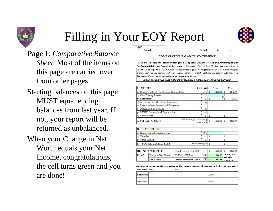

Branch



**Page 1**: *Comparative Balance Sheet*: Most of the items on this page are carried over from other pages.

- Starting balances on this page MUST equal ending balances from last year. If not, your report will be returned as unbalanced.
- When your Change in Net Worth equals your Net Income, congratulations, the cell turns green and you are done!

#### **COMPARATIVE BALANCE STATEMENT**

Period:

For Cumulative Quarterly Reports, use last year's Comparative Balance Sheet (End) amounts for the (Start) am For Sequential Quarterly Reports, use last report's Comparative Balance Sheet (End) amounts for the (Start) ar For Year-end Reports, the (Start) numbers will be provided to you by the Kingdom Exchequer. The numbers may ha changed from what was submitted last year because of transfer reconciliation between your account and other acco The Year-end Report must be signed by the person preparing the report.

(START) FIGURES MAY NOT BE CHANGED UNDER ANY CIRCUMSTANCES!

|                                   | <b>ASSETS</b><br>(from page)              |                                            |    |          |   | End                  |
|-----------------------------------|-------------------------------------------|--------------------------------------------|----|----------|---|----------------------|
|                                   | Undeposited and Non-Interest Bearing Cash | (3,5)                                      | s  | 1,500.00 | s | 2,143.99             |
| Ъ                                 | <b>Cash Earning Interest</b>              | 3                                          |    |          |   |                      |
| Receivables<br>le)                |                                           | (5)                                        | s  |          | s | 25.00                |
| d)                                | Inventory For Sale (Major Inventory)      | 6                                          |    |          |   |                      |
| le)                               | Regalia & Non-Depreciated Equipment       |                                            |    |          |   |                      |
| E)                                | Depreciated Equipment                     | 8                                          |    |          |   |                      |
| lg)                               | MINUS Accumulated Depreciation            | 8                                          |    |          |   |                      |
| $ h\rangle$                       | Other Assets                              | 5)                                         | s  |          | s |                      |
|                                   | i) TOTAL ASSETS                           | Add a through f, subtract g,<br>then add h |    | 1,500.00 | s | 2,168.99             |
|                                   | II. LIABILITIES                           |                                            |    |          |   |                      |
| $ {\bf a} $                       | Newsletter Subscriptions Due              | 15)                                        |    |          |   |                      |
| Pavables<br>Ъ                     |                                           | 5                                          | Ś  |          | s |                      |
| Other Liabilities<br>$\mathbf{c}$ | s                                         |                                            | Ś  |          |   |                      |
| $\vert d \rangle$                 | <b>TOTAL LIABILITIES</b>                  | Add a through c §                          |    |          | s |                      |
|                                   | <b>III. NET WORTH</b>                     | Line Li minus Line II.d                    | s  | 1,500.00 | s | 2,168.99             |
| Proof:                            | Change in Net Worth                       | (A)<br>III(End) - III(Start)               | \$ | 668.99   |   | $(A = B) ? H$        |
|                                   | Net Income                                | (B)<br>Income Statement Line 32            | \$ | 668.99   |   | NO, the<br>report is |

itures below certify that the information on this report is correct and complete to the best of their knowle Least Names: Print Sign

| Exchequer: | Date: |
|------------|-------|
| Seneschal: | Date: |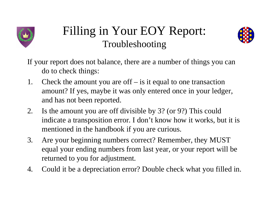

#### Filling in Your EOY Report: Troubleshooting



- If your report does not balance, there are a number of things you can do to check things:
- 1. Check the amount you are off is it equal to one transaction amount? If yes, maybe it was only entered once in your ledger, and has not been reported.
- 2. Is the amount you are off divisible by 3? (or 9?) This could indicate a transposition error. I don't know how it works, but it is mentioned in the handbook if you are curious.
- 3. Are your beginning numbers correct? Remember, they MUST equal your ending numbers from last year, or your report will be returned to you for adjustment.
- 4. Could it be a depreciation error? Double check what you filled in.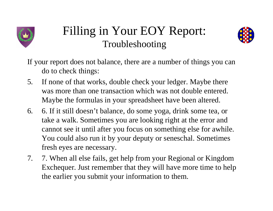

#### Filling in Your EOY Report: Troubleshooting



- If your report does not balance, there are a number of things you can do to check things:
- 5. If none of that works, double check your ledger. Maybe there was more than one transaction which was not double entered. Maybe the formulas in your spreadsheet have been altered.
- 6. 6. If it still doesn't balance, do some yoga, drink some tea, or take a walk. Sometimes you are looking right at the error and cannot see it until after you focus on something else for awhile. You could also run it by your deputy or seneschal. Sometimes fresh eyes are necessary.
- 7. 7. When all else fails, get help from your Regional or Kingdom Exchequer. Just remember that they will have more time to help the earlier you submit your information to them.